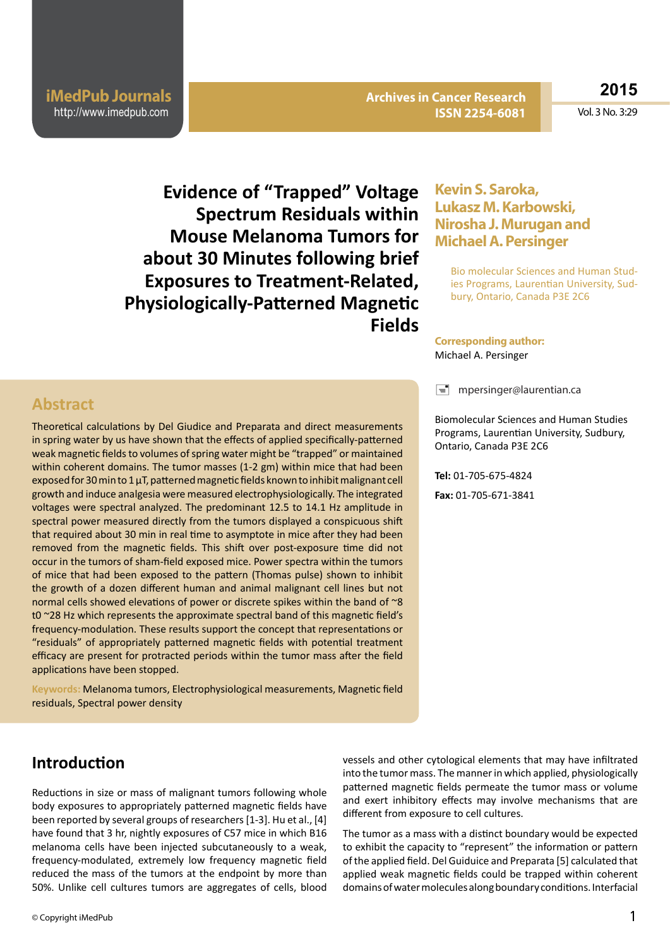**iMedPub Journals** http://www.imedpub.com

**Archives in Cancer Research Archives in Cancer Research ISSN 2254-6081 ISSN 2254-6081** **2015**

Vol. 3 No. 3:29

**Evidence of "Trapped" Voltage Spectrum Residuals within Mouse Melanoma Tumors for about 30 Minutes following brief Exposures to Treatment-Related, Physiologically-Patterned Magnetic Fields**

### **Kevin S. Saroka, Lukasz M. Karbowski, Nirosha J. Murugan and Michael A. Persinger**

Bio molecular Sciences and Human Studies Programs, Laurentian University, Sudbury, Ontario, Canada P3E 2C6

#### **Corresponding author:** Michael A. Persinger

 $\equiv$  mpersinger@laurentian.ca

Biomolecular Sciences and Human Studies Programs, Laurentian University, Sudbury, Ontario, Canada P3E 2C6

**Tel:** 01-705-675-4824 **Fax:** 01-705-671-3841

### **Abstract**

Theoretical calculations by Del Giudice and Preparata and direct measurements in spring water by us have shown that the effects of applied specifically-patterned weak magnetic fields to volumes of spring water might be "trapped" or maintained within coherent domains. The tumor masses (1-2 gm) within mice that had been exposed for 30 min to 1 μT, patterned magnetic fields known to inhibit malignant cell growth and induce analgesia were measured electrophysiologically. The integrated voltages were spectral analyzed. The predominant 12.5 to 14.1 Hz amplitude in spectral power measured directly from the tumors displayed a conspicuous shift that required about 30 min in real time to asymptote in mice after they had been removed from the magnetic fields. This shift over post-exposure time did not occur in the tumors of sham-field exposed mice. Power spectra within the tumors of mice that had been exposed to the pattern (Thomas pulse) shown to inhibit the growth of a dozen different human and animal malignant cell lines but not normal cells showed elevations of power or discrete spikes within the band of ~8 t0 ~28 Hz which represents the approximate spectral band of this magnetic field's frequency-modulation. These results support the concept that representations or "residuals" of appropriately patterned magnetic fields with potential treatment efficacy are present for protracted periods within the tumor mass after the field applications have been stopped.

**Keywords:** Melanoma tumors, Electrophysiological measurements, Magnetic field residuals, Spectral power density

### **Introduction**

Reductions in size or mass of malignant tumors following whole body exposures to appropriately patterned magnetic fields have been reported by several groups of researchers [1-3]. Hu et al., [4] have found that 3 hr, nightly exposures of C57 mice in which B16 melanoma cells have been injected subcutaneously to a weak, frequency-modulated, extremely low frequency magnetic field reduced the mass of the tumors at the endpoint by more than 50%. Unlike cell cultures tumors are aggregates of cells, blood vessels and other cytological elements that may have infiltrated into the tumor mass. The manner in which applied, physiologically patterned magnetic fields permeate the tumor mass or volume and exert inhibitory effects may involve mechanisms that are different from exposure to cell cultures.

The tumor as a mass with a distinct boundary would be expected to exhibit the capacity to "represent" the information or pattern of the applied field. Del Guiduice and Preparata [5] calculated that applied weak magnetic fields could be trapped within coherent domains of water molecules along boundary conditions. Interfacial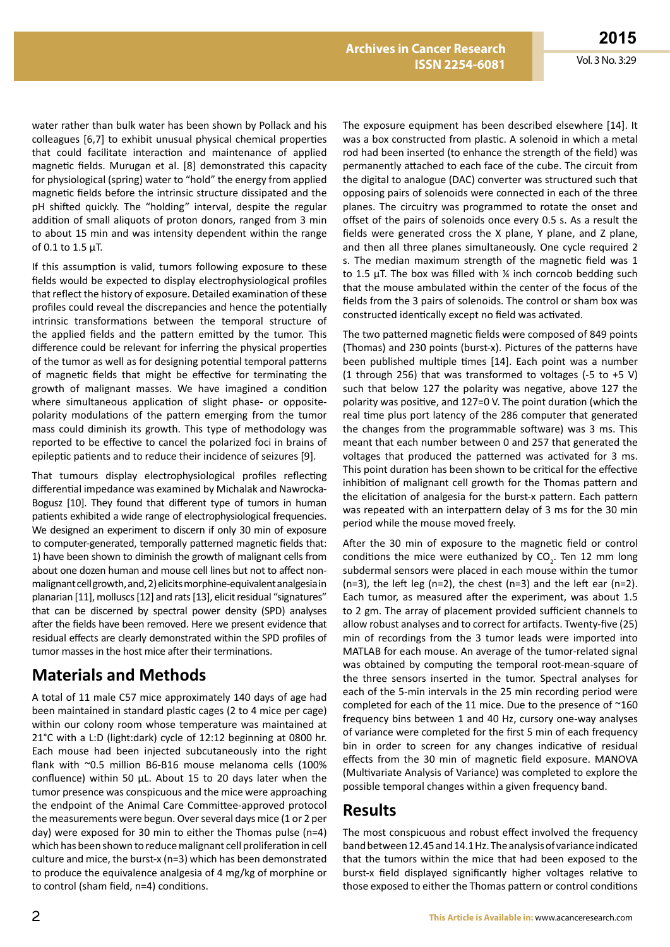water rather than bulk water has been shown by Pollack and his colleagues [6,7] to exhibit unusual physical chemical properties that could facilitate interaction and maintenance of applied magnetic fields. Murugan et al. [8] demonstrated this capacity for physiological (spring) water to "hold" the energy from applied magnetic fields before the intrinsic structure dissipated and the pH shifted quickly. The "holding" interval, despite the regular addition of small aliquots of proton donors, ranged from 3 min to about 15 min and was intensity dependent within the range of 0.1 to 1.5 μT.

If this assumption is valid, tumors following exposure to these fields would be expected to display electrophysiological profiles that reflect the history of exposure. Detailed examination of these profiles could reveal the discrepancies and hence the potentially intrinsic transformations between the temporal structure of the applied fields and the pattern emitted by the tumor. This difference could be relevant for inferring the physical properties of the tumor as well as for designing potential temporal patterns of magnetic fields that might be effective for terminating the growth of malignant masses. We have imagined a condition where simultaneous application of slight phase- or oppositepolarity modulations of the pattern emerging from the tumor mass could diminish its growth. This type of methodology was reported to be effective to cancel the polarized foci in brains of epileptic patients and to reduce their incidence of seizures [9].

That tumours display electrophysiological profiles reflecting differential impedance was examined by Michalak and Nawrocka-Bogusz [10]. They found that different type of tumors in human patients exhibited a wide range of electrophysiological frequencies. We designed an experiment to discern if only 30 min of exposure to computer-generated, temporally patterned magnetic fields that: 1) have been shown to diminish the growth of malignant cells from about one dozen human and mouse cell lines but not to affect nonmalignant cell growth, and, 2) elicits morphine-equivalent analgesia in planarian [11], molluscs [12] and rats [13], elicit residual "signatures" that can be discerned by spectral power density (SPD) analyses after the fields have been removed. Here we present evidence that residual effects are clearly demonstrated within the SPD profiles of tumor masses in the host mice after their terminations.

# **Materials and Methods**

A total of 11 male C57 mice approximately 140 days of age had been maintained in standard plastic cages (2 to 4 mice per cage) within our colony room whose temperature was maintained at 21°C with a L:D (light:dark) cycle of 12:12 beginning at 0800 hr. Each mouse had been injected subcutaneously into the right flank with ~0.5 million B6-B16 mouse melanoma cells (100% confluence) within 50 μL. About 15 to 20 days later when the tumor presence was conspicuous and the mice were approaching the endpoint of the Animal Care Committee-approved protocol the measurements were begun. Over several days mice (1 or 2 per day) were exposed for 30 min to either the Thomas pulse (n=4) which has been shown to reduce malignant cell proliferation in cell culture and mice, the burst-x (n=3) which has been demonstrated to produce the equivalence analgesia of 4 mg/kg of morphine or to control (sham field, n=4) conditions.

The exposure equipment has been described elsewhere [14]. It was a box constructed from plastic. A solenoid in which a metal rod had been inserted (to enhance the strength of the field) was permanently attached to each face of the cube. The circuit from the digital to analogue (DAC) converter was structured such that opposing pairs of solenoids were connected in each of the three planes. The circuitry was programmed to rotate the onset and offset of the pairs of solenoids once every 0.5 s. As a result the fields were generated cross the X plane, Y plane, and Z plane, and then all three planes simultaneously. One cycle required 2 s. The median maximum strength of the magnetic field was 1 to 1.5 μT. The box was filled with  $\frac{1}{4}$  inch corncob bedding such that the mouse ambulated within the center of the focus of the fields from the 3 pairs of solenoids. The control or sham box was constructed identically except no field was activated.

The two patterned magnetic fields were composed of 849 points (Thomas) and 230 points (burst-x). Pictures of the patterns have been published multiple times [14]. Each point was a number (1 through 256) that was transformed to voltages (-5 to +5 V) such that below 127 the polarity was negative, above 127 the polarity was positive, and 127=0 V. The point duration (which the real time plus port latency of the 286 computer that generated the changes from the programmable software) was 3 ms. This meant that each number between 0 and 257 that generated the voltages that produced the patterned was activated for 3 ms. This point duration has been shown to be critical for the effective inhibition of malignant cell growth for the Thomas pattern and the elicitation of analgesia for the burst-x pattern. Each pattern was repeated with an interpattern delay of 3 ms for the 30 min period while the mouse moved freely.

After the 30 min of exposure to the magnetic field or control conditions the mice were euthanized by  $CO<sub>2</sub>$ . Ten 12 mm long subdermal sensors were placed in each mouse within the tumor  $(n=3)$ , the left leg  $(n=2)$ , the chest  $(n=3)$  and the left ear  $(n=2)$ . Each tumor, as measured after the experiment, was about 1.5 to 2 gm. The array of placement provided sufficient channels to allow robust analyses and to correct for artifacts. Twenty-five (25) min of recordings from the 3 tumor leads were imported into MATLAB for each mouse. An average of the tumor-related signal was obtained by computing the temporal root-mean-square of the three sensors inserted in the tumor. Spectral analyses for each of the 5-min intervals in the 25 min recording period were completed for each of the 11 mice. Due to the presence of ~160 frequency bins between 1 and 40 Hz, cursory one-way analyses of variance were completed for the first 5 min of each frequency bin in order to screen for any changes indicative of residual effects from the 30 min of magnetic field exposure. MANOVA (Multivariate Analysis of Variance) was completed to explore the possible temporal changes within a given frequency band.

# **Results**

The most conspicuous and robust effect involved the frequency band between 12.45 and 14.1 Hz. The analysis of variance indicated that the tumors within the mice that had been exposed to the burst-x field displayed significantly higher voltages relative to those exposed to either the Thomas pattern or control conditions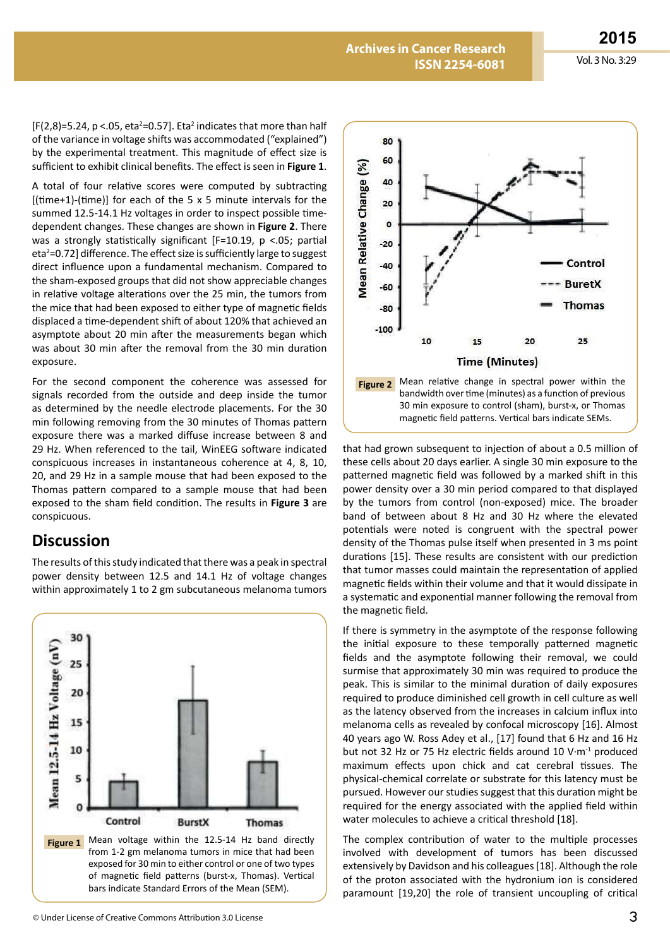$[F(2,8)=5.24, p < .05, eta^2=0.57]$ . Eta<sup>2</sup> indicates that more than half of the variance in voltage shifts was accommodated ("explained") by the experimental treatment. This magnitude of effect size is sufficient to exhibit clinical benefits. The effect is seen in **Figure 1**.

A total of four relative scores were computed by subtracting [(time+1)-(time)] for each of the 5  $\times$  5 minute intervals for the summed 12.5-14.1 Hz voltages in order to inspect possible timedependent changes. These changes are shown in **Figure 2**. There was a strongly statistically significant [F=10.19, p <.05; partial eta<sup>2</sup>=0.72] difference. The effect size is sufficiently large to suggest direct influence upon a fundamental mechanism. Compared to the sham-exposed groups that did not show appreciable changes in relative voltage alterations over the 25 min, the tumors from the mice that had been exposed to either type of magnetic fields displaced a time-dependent shift of about 120% that achieved an asymptote about 20 min after the measurements began which was about 30 min after the removal from the 30 min duration exposure.

For the second component the coherence was assessed for signals recorded from the outside and deep inside the tumor as determined by the needle electrode placements. For the 30 min following removing from the 30 minutes of Thomas pattern exposure there was a marked diffuse increase between 8 and 29 Hz. When referenced to the tail, WinEEG software indicated conspicuous increases in instantaneous coherence at 4, 8, 10, 20, and 29 Hz in a sample mouse that had been exposed to the Thomas pattern compared to a sample mouse that had been exposed to the sham field condition. The results in **Figure 3** are conspicuous.

### **Discussion**

The results of this study indicated that there was a peak in spectral power density between 12.5 and 14.1 Hz of voltage changes within approximately 1 to 2 gm subcutaneous melanoma tumors





bandwidth over time (minutes) as a function of previous 30 min exposure to control (sham), burst-x, or Thomas magnetic field patterns. Vertical bars indicate SEMs.

that had grown subsequent to injection of about a 0.5 million of these cells about 20 days earlier. A single 30 min exposure to the patterned magnetic field was followed by a marked shift in this power density over a 30 min period compared to that displayed by the tumors from control (non-exposed) mice. The broader band of between about 8 Hz and 30 Hz where the elevated potentials were noted is congruent with the spectral power density of the Thomas pulse itself when presented in 3 ms point durations [15]. These results are consistent with our prediction that tumor masses could maintain the representation of applied magnetic fields within their volume and that it would dissipate in a systematic and exponential manner following the removal from the magnetic field.

If there is symmetry in the asymptote of the response following the initial exposure to these temporally patterned magnetic fields and the asymptote following their removal, we could surmise that approximately 30 min was required to produce the peak. This is similar to the minimal duration of daily exposures required to produce diminished cell growth in cell culture as well as the latency observed from the increases in calcium influx into melanoma cells as revealed by confocal microscopy [16]. Almost 40 years ago W. Ross Adey et al., [17] found that 6 Hz and 16 Hz but not 32 Hz or 75 Hz electric fields around 10 V·m-1 produced maximum effects upon chick and cat cerebral tissues. The physical-chemical correlate or substrate for this latency must be pursued. However our studies suggest that this duration might be required for the energy associated with the applied field within water molecules to achieve a critical threshold [18].

The complex contribution of water to the multiple processes involved with development of tumors has been discussed extensively by Davidson and his colleagues [18]. Although the role of the proton associated with the hydronium ion is considered paramount [19,20] the role of transient uncoupling of critical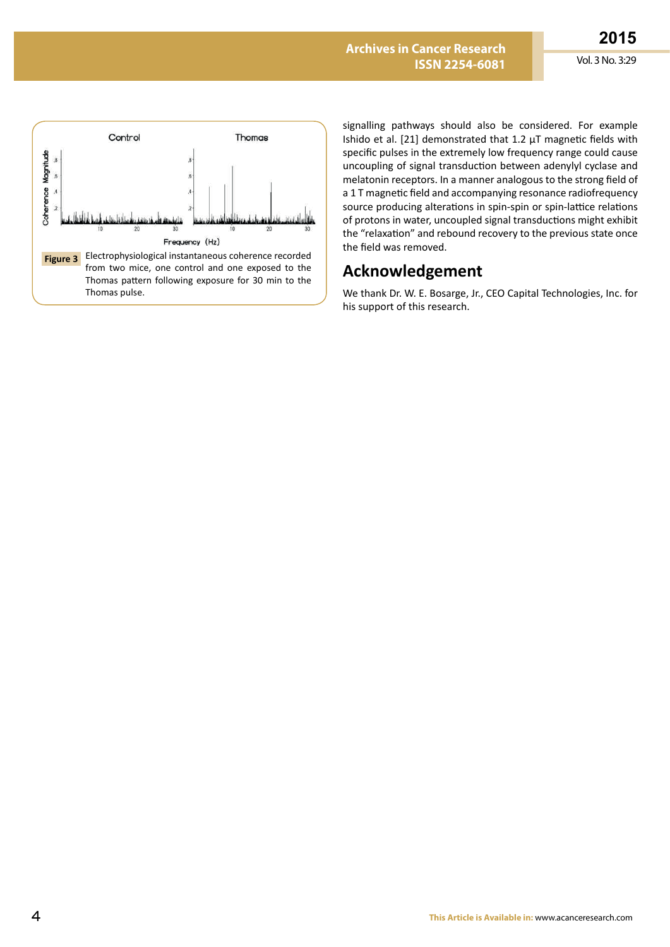

signalling pathways should also be considered. For example Ishido et al. [21] demonstrated that 1.2 μT magnetic fields with specific pulses in the extremely low frequency range could cause uncoupling of signal transduction between adenylyl cyclase and melatonin receptors. In a manner analogous to the strong field of a 1 T magnetic field and accompanying resonance radiofrequency source producing alterations in spin-spin or spin-lattice relations of protons in water, uncoupled signal transductions might exhibit the "relaxation" and rebound recovery to the previous state once the field was removed.

# **Acknowledgement**

We thank Dr. W. E. Bosarge, Jr., CEO Capital Technologies, Inc. for his support of this research.